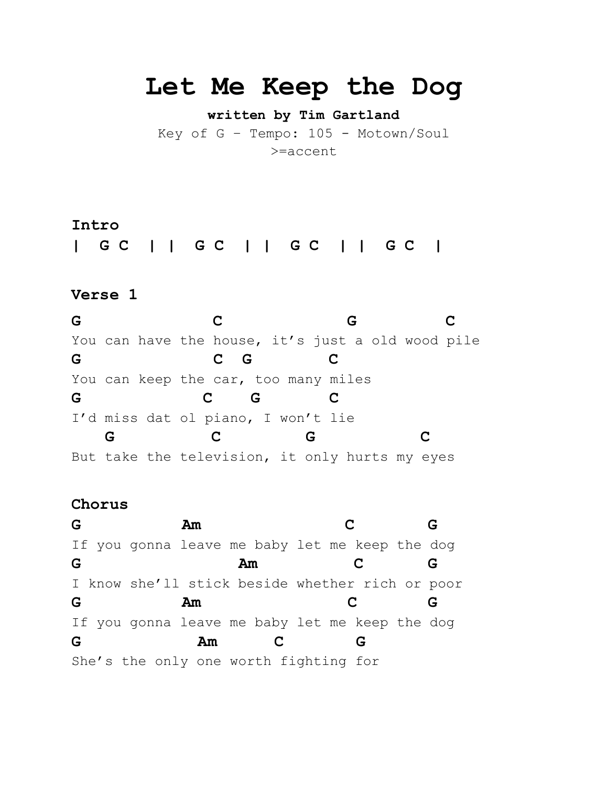# **Let Me Keep the Dog**

**written by Tim Gartland**

Key of G – Tempo: 105 - Motown/Soul >=accent

# **Intro**

**| G C | | G C | | G C | | G C |**

# **Verse 1**

**G C G C** You can have the house, it's just a old wood pile **G C G C** You can keep the car, too many miles **G C G C** I'd miss dat ol piano, I won't lie  **G C G C** But take the television, it only hurts my eyes

## **Chorus**

**G Am C G** If you gonna leave me baby let me keep the dog **G Am C G** I know she'll stick beside whether rich or poor **G Am C G** If you gonna leave me baby let me keep the dog **G Am C G** She's the only one worth fighting for